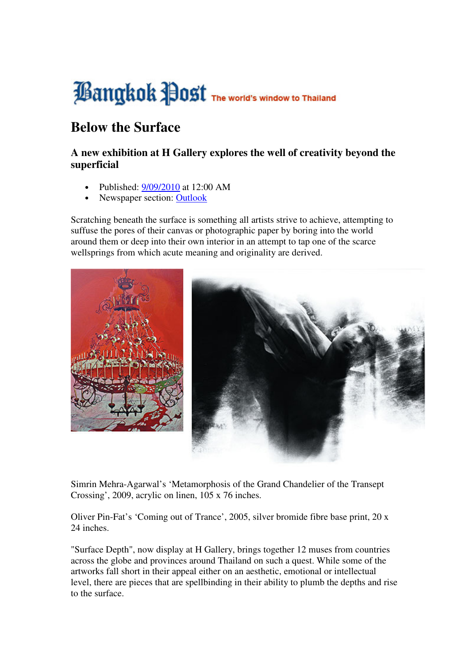# **Bangkok Post** The World's Window to Thailand

# **Below the Surface**

## **A new exhibition at H Gallery explores the well of creativity beyond the superficial**

- Published: 9/09/2010 at 12:00 AM
- Newspaper section: Outlook

Scratching beneath the surface is something all artists strive to achieve, attempting to suffuse the pores of their canvas or photographic paper by boring into the world around them or deep into their own interior in an attempt to tap one of the scarce wellsprings from which acute meaning and originality are derived.



Simrin Mehra-Agarwal's 'Metamorphosis of the Grand Chandelier of the Transept Crossing', 2009, acrylic on linen, 105 x 76 inches.

Oliver Pin-Fat's 'Coming out of Trance', 2005, silver bromide fibre base print, 20 x 24 inches.

"Surface Depth", now display at H Gallery, brings together 12 muses from countries across the globe and provinces around Thailand on such a quest. While some of the artworks fall short in their appeal either on an aesthetic, emotional or intellectual level, there are pieces that are spellbinding in their ability to plumb the depths and rise to the surface.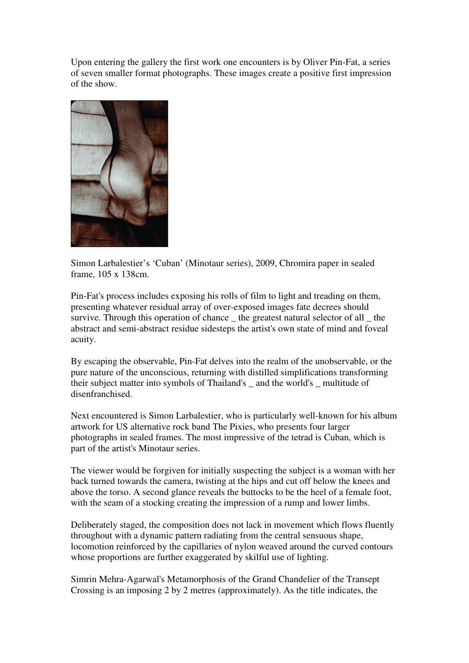Upon entering the gallery the first work one encounters is by Oliver Pin-Fat, a series of seven smaller format photographs. These images create a positive first impression of the show.



Simon Larbalestier's 'Cuban' (Minotaur series), 2009, Chromira paper in sealed frame, 105 x 138cm.

Pin-Fat's process includes exposing his rolls of film to light and treading on them, presenting whatever residual array of over-exposed images fate decrees should survive. Through this operation of chance \_ the greatest natural selector of all \_ the abstract and semi-abstract residue sidesteps the artist's own state of mind and foveal acuity.

By escaping the observable, Pin-Fat delves into the realm of the unobservable, or the pure nature of the unconscious, returning with distilled simplifications transforming their subject matter into symbols of Thailand's \_ and the world's \_ multitude of disenfranchised.

Next encountered is Simon Larbalestier, who is particularly well-known for his album artwork for US alternative rock band The Pixies, who presents four larger photographs in sealed frames. The most impressive of the tetrad is Cuban, which is part of the artist's Minotaur series.

The viewer would be forgiven for initially suspecting the subject is a woman with her back turned towards the camera, twisting at the hips and cut off below the knees and above the torso. A second glance reveals the buttocks to be the heel of a female foot, with the seam of a stocking creating the impression of a rump and lower limbs.

Deliberately staged, the composition does not lack in movement which flows fluently throughout with a dynamic pattern radiating from the central sensuous shape, locomotion reinforced by the capillaries of nylon weaved around the curved contours whose proportions are further exaggerated by skilful use of lighting.

Simrin Mehra-Agarwal's Metamorphosis of the Grand Chandelier of the Transept Crossing is an imposing 2 by 2 metres (approximately). As the title indicates, the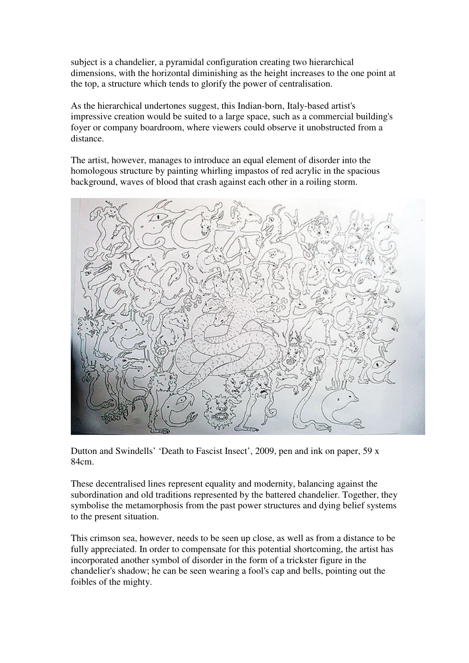subject is a chandelier, a pyramidal configuration creating two hierarchical dimensions, with the horizontal diminishing as the height increases to the one point at the top, a structure which tends to glorify the power of centralisation.

As the hierarchical undertones suggest, this Indian-born, Italy-based artist's impressive creation would be suited to a large space, such as a commercial building's foyer or company boardroom, where viewers could observe it unobstructed from a distance.

The artist, however, manages to introduce an equal element of disorder into the homologous structure by painting whirling impastos of red acrylic in the spacious background, waves of blood that crash against each other in a roiling storm.



Dutton and Swindells' 'Death to Fascist Insect', 2009, pen and ink on paper, 59 x 84cm.

These decentralised lines represent equality and modernity, balancing against the subordination and old traditions represented by the battered chandelier. Together, they symbolise the metamorphosis from the past power structures and dying belief systems to the present situation.

This crimson sea, however, needs to be seen up close, as well as from a distance to be fully appreciated. In order to compensate for this potential shortcoming, the artist has incorporated another symbol of disorder in the form of a trickster figure in the chandelier's shadow; he can be seen wearing a fool's cap and bells, pointing out the foibles of the mighty.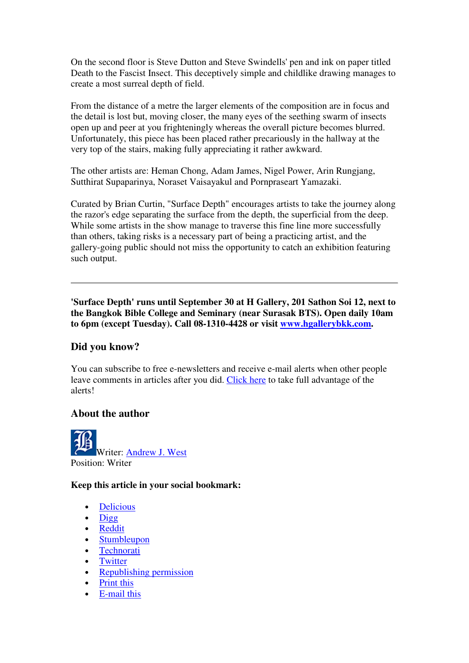On the second floor is Steve Dutton and Steve Swindells' pen and ink on paper titled Death to the Fascist Insect. This deceptively simple and childlike drawing manages to create a most surreal depth of field.

From the distance of a metre the larger elements of the composition are in focus and the detail is lost but, moving closer, the many eyes of the seething swarm of insects open up and peer at you frighteningly whereas the overall picture becomes blurred. Unfortunately, this piece has been placed rather precariously in the hallway at the very top of the stairs, making fully appreciating it rather awkward.

The other artists are: Heman Chong, Adam James, Nigel Power, Arin Rungjang, Sutthirat Supaparinya, Noraset Vaisayakul and Pornpraseart Yamazaki.

Curated by Brian Curtin, "Surface Depth" encourages artists to take the journey along the razor's edge separating the surface from the depth, the superficial from the deep. While some artists in the show manage to traverse this fine line more successfully than others, taking risks is a necessary part of being a practicing artist, and the gallery-going public should not miss the opportunity to catch an exhibition featuring such output.

**'Surface Depth' runs until September 30 at H Gallery, 201 Sathon Soi 12, next to the Bangkok Bible College and Seminary (near Surasak BTS). Open daily 10am to 6pm (except Tuesday). Call 08-1310-4428 or visit www.hgallerybkk.com.**

### **Did you know?**

You can subscribe to free e-newsletters and receive e-mail alerts when other people leave comments in articles after you did. Click here to take full advantage of the alerts!

#### **About the author**

Writer: Andrew J. West Position: Writer

#### **Keep this article in your social bookmark:**

- Delicious
- Digg
- Reddit
- **Stumbleupon**
- **Technorati**
- **Twitter**
- Republishing permission
- Print this
- E-mail this